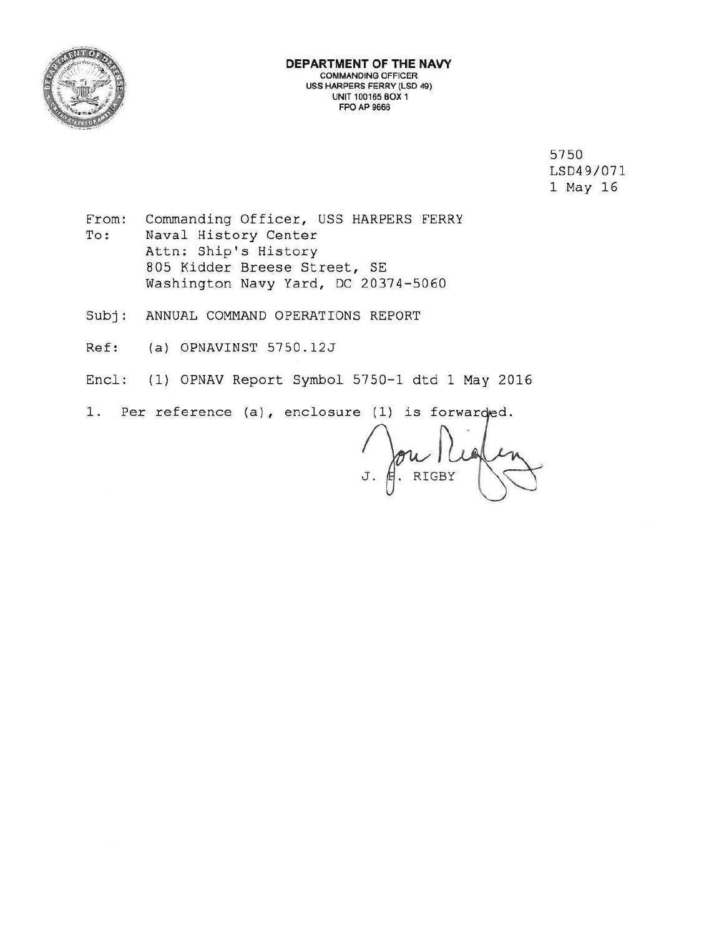

5750 LSD49/071 1 May 16

- From: To: Commanding Officer, USS HARPERS FERRY Naval History Center Attn: Ship's History 805 Kidder Breese Street, SE Washington Navy Yard, DC 20374-5060
- Subj: ANNUAL COMMAND OPERATIONS REPORT
- Ref: (a) OPNAVINST 5750.12J
- Encl: (1) OPNAV Report Symbol 5750-1 dtd 1 May 2016
- 1. Per reference (a), enclosure (1) is forwarded.

 $J.$   $\beta$  RIGBY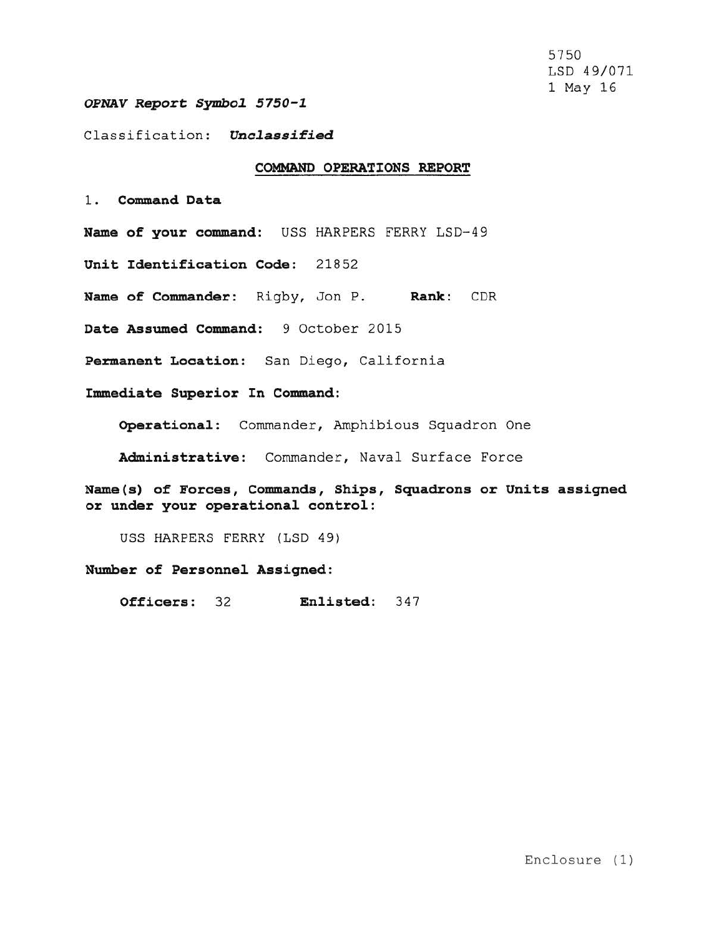5750 LSD 49/071 1 May 16

#### *OPNAV Report Symbol 5750-1*

### Classification: **Unclassified**

#### **COMMAND OPERATIONS REPORT**

1 . **Command Data** 

Name of your command: USS HARPERS FERRY LSD-49

Unit Identification Code: 21852

**Name of Commander :** Rigby, Jon P. **Rank:** CDR

**Date Assumed Command:** 9 October 2015

Permanent Location: San Diego, California

**Immediate Superior In Command:** 

Operational: Commander, Amphibious Squadron One

Administrative: Commander, Naval Surface Force

**Name(s) of Forces, Commands, Ships, Squadrons or Units assigned or under your operational control :** 

USS HARPERS FERRY (LSD 49)

**Number of Personnel Assigned:** 

**Officers:** 32 **Enlisted:** 347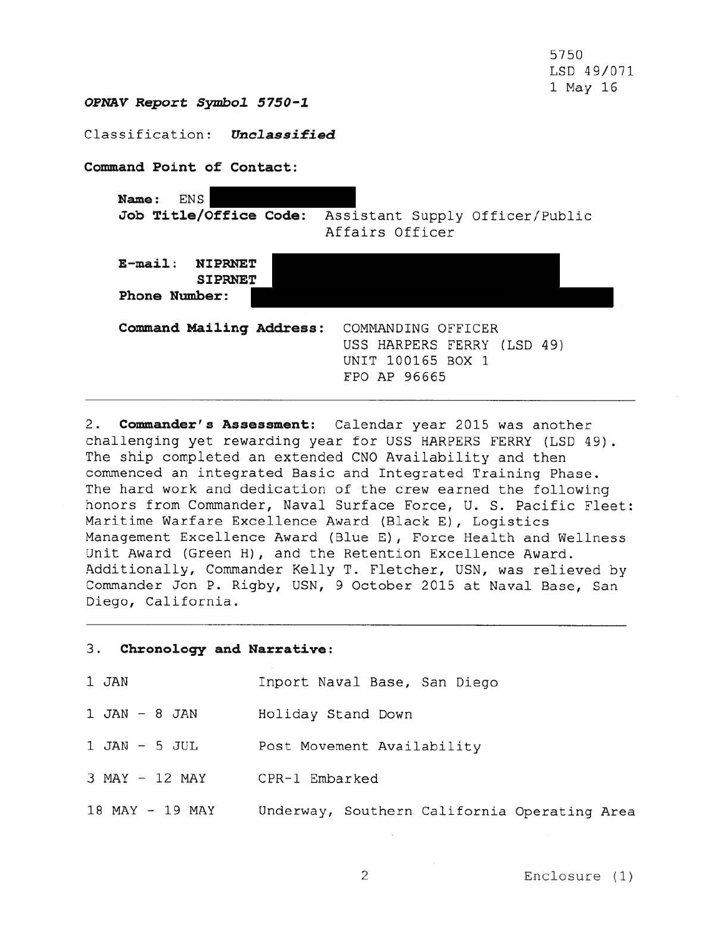5750 LSD 49/071 1 May 16

**OPNAV Report Symbol 5150-1** 

Classification : *Unclassified* 

**Command Point of Contact:** 

**Name :** ENS Job Title/Office Code: Assistant Supply Officer/Public Affairs Officer **E-mail: NIPRNET SIPRNET Phone Number : Command Mailing Address: COMMANDING OFFICER** USS HARPERS FERRY (LSD 49) UNIT 100165 BOX 1 FPO AP 96665

2 . **Commander's Assessment:** Calendar year 2015 was another challenging yet rewarding year for USS HARPERS FERRY (LSD 49). The ship completed an extended CNO Availability and then commenced an integrated Basic and Integrated Training Phase. The hard work and dedication of the crew earned the following honors from Commander, Naval Surface Force, U. S. Pacific Fleet: Maritime Warfare Excellence Award (Black E), Logistics Management Excellence Award (Blue E) , Force Health and Wellness Unit Award (Green H), and the Retention Excellence Award. Additionally, Commander Kelly T. Fletcher, USN, was relieved by Commander Jon P. Rigby, USN, 9 October 2015 at Naval Base, San Diego, California .

#### 3. **Chronology and Narrative:**

| 1 JAN | Inport Naval Base, San Diego |  |  |
|-------|------------------------------|--|--|
|       |                              |  |  |

- 1 JAN 8 JAN Holiday Stand Down
- 1 JAN 5 JUL Post Movement Availability
- 3 MAY 12 MAY CPR-1 Embarked
- 18 MAY 19 MAY Underway, Southern California Operating Area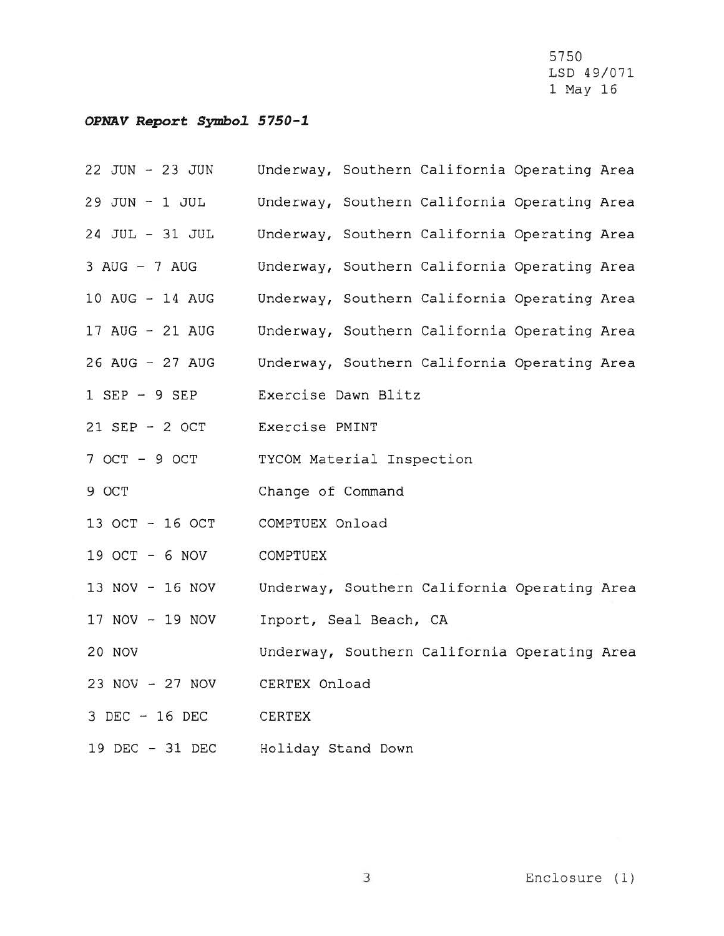5750 LSD 49/071 1 May 16

# *OPNAV* **Report** *Symbo1 S1S0-1*

22 JUN - 23 JUN 29 JUN - 1 JUL 24 JUL - 31 JUL 3 AUG - 7 AUG 10 AUG - 14 AUG 17 AUG - 21 AUG 26 AUG - 27 AUG 1 SEP - 9 SEP 21 SEP - 2 OCT 7 OCT - 9 OCT 9 OCT 13 OCT - 16 OCT 19 OCT - 6 NOV 13 NOV - 16 NOV 17 NOV - 19 NOV 20 NOV 23 NOV - 27 NOV 3 DEC - 16 DEC 19 DEC - 31 DEC Underway, Southern California Operating Area Underway, Southern California Operating Area Underway, Southern California Operating Area Underway, Southern California Operating Area Underway, Southern California Operating Area Underway, Southern California Operating Area Underway, Southern California Operating Area Exercise Dawn Blitz Exercise **PMINT TYCOM Ma t erial** Inspection Change of Command **COMPTUEX** Onload COMPTUEX Underway, Southern California Operating Area Inport, Seal Beach, CA Underway, Southern California Operating Area CERTEX Onload CERTEX Holiday Stand Down

3 Enclosure (1)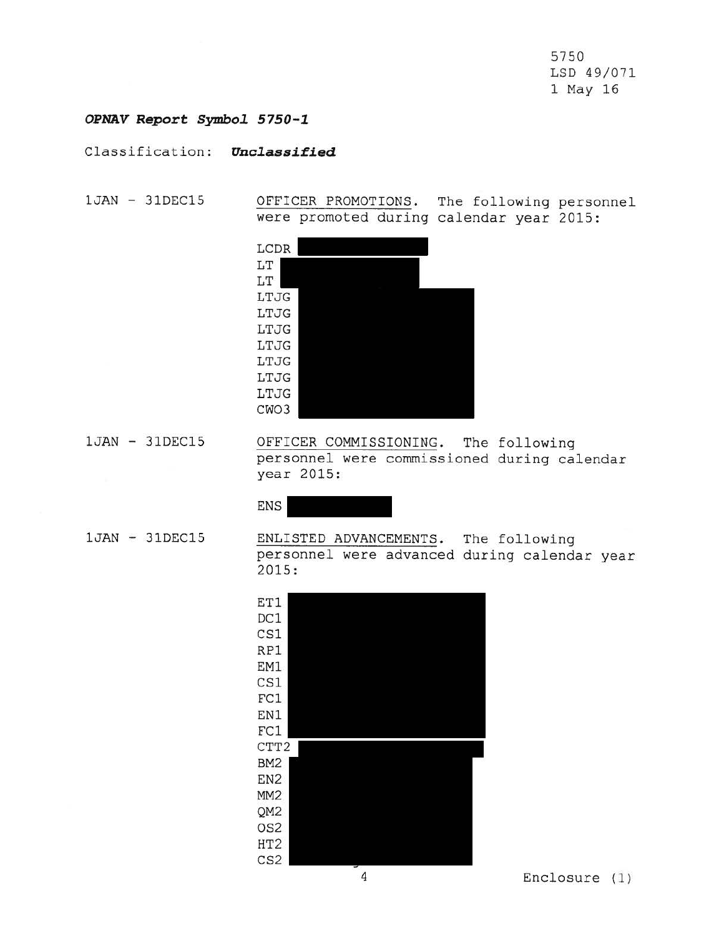5750 LSD 49/071 1 May 16

## *OPNAV Report Symbo1 5750-1*

Classification: *Unclassified* 

1JAN - 31DEC15 OFFICER PROMOTIONS. The following personnel were promoted during calendar year 2015:

| LCDR |  |  |  |
|------|--|--|--|
| LT   |  |  |  |
| LT   |  |  |  |
| LTJG |  |  |  |
| LTJG |  |  |  |
| LTJG |  |  |  |
| LTJG |  |  |  |
| LTJG |  |  |  |
| LTJG |  |  |  |
| LTJG |  |  |  |
| CWO3 |  |  |  |

1JAN - 31DEC15 OFFICER COMMISSIONING. The following personnel were commissioned during calendar year 2015:

ENS

1JAN - 31DEC15

ENLISTED ADVANCEMENTS. The following personnel were advanced during calendar year  $2015:$ 



4 Enclosure (1)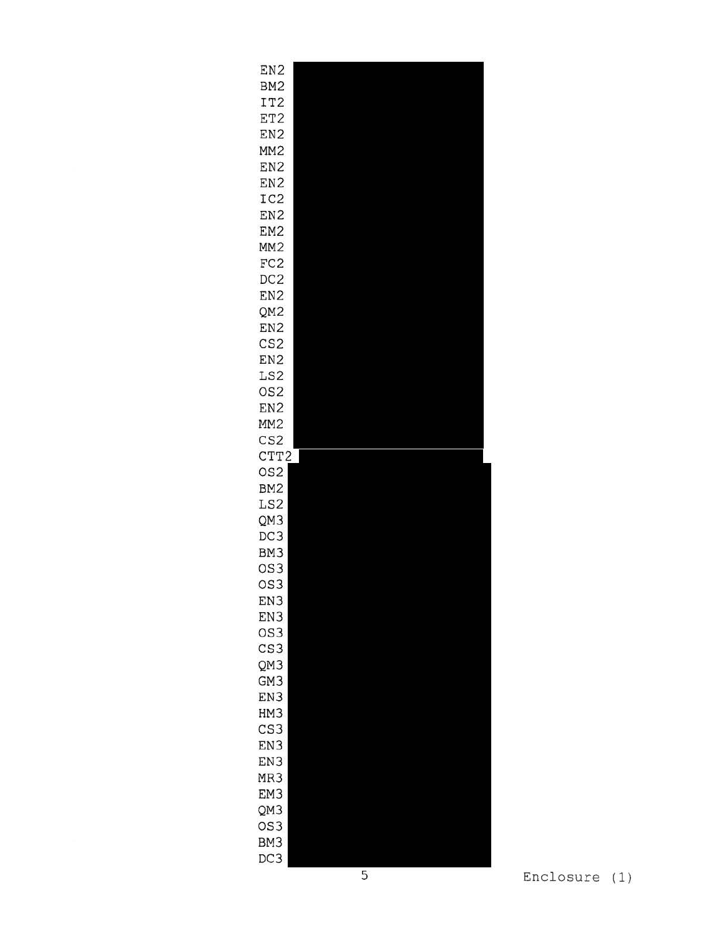| EN <sub>2</sub>        |  |
|------------------------|--|
| BM <sub>2</sub>        |  |
| IT <sub>2</sub>        |  |
| ET2                    |  |
| EN <sub>2</sub>        |  |
| MM <sub>2</sub>        |  |
| EN <sub>2</sub>        |  |
| EN <sub>2</sub>        |  |
| IC <sub>2</sub>        |  |
| EN <sub>2</sub>        |  |
| EM <sub>2</sub>        |  |
| MM <sub>2</sub>        |  |
| FC <sub>2</sub>        |  |
| DC <sub>2</sub>        |  |
| EN <sub>2</sub>        |  |
| QM <sub>2</sub>        |  |
| EN <sub>2</sub>        |  |
| CS <sub>2</sub>        |  |
| EN <sub>2</sub>        |  |
| LS <sub>2</sub>        |  |
| OS <sub>2</sub>        |  |
| EN <sub>2</sub>        |  |
| MM <sub>2</sub>        |  |
| CS <sub>2</sub>        |  |
| CTT2                   |  |
|                        |  |
| OS <sub>2</sub>        |  |
| BM <sub>2</sub>        |  |
| LS2                    |  |
| QM3                    |  |
| DC3                    |  |
| BM <sub>3</sub>        |  |
| OS <sub>3</sub>        |  |
| OS <sub>3</sub>        |  |
| EN3                    |  |
| EN3                    |  |
| OS <sub>3</sub>        |  |
| CS <sub>3</sub>        |  |
| QM3                    |  |
| GM <sub>3</sub>        |  |
| EN <sub>3</sub>        |  |
| HM3                    |  |
| CS <sub>3</sub>        |  |
| EN3                    |  |
| EN <sub>3</sub>        |  |
| MR <sub>3</sub>        |  |
| EM <sub>3</sub>        |  |
| QM3                    |  |
| OS <sub>3</sub>        |  |
| BM <sub>3</sub><br>DC3 |  |